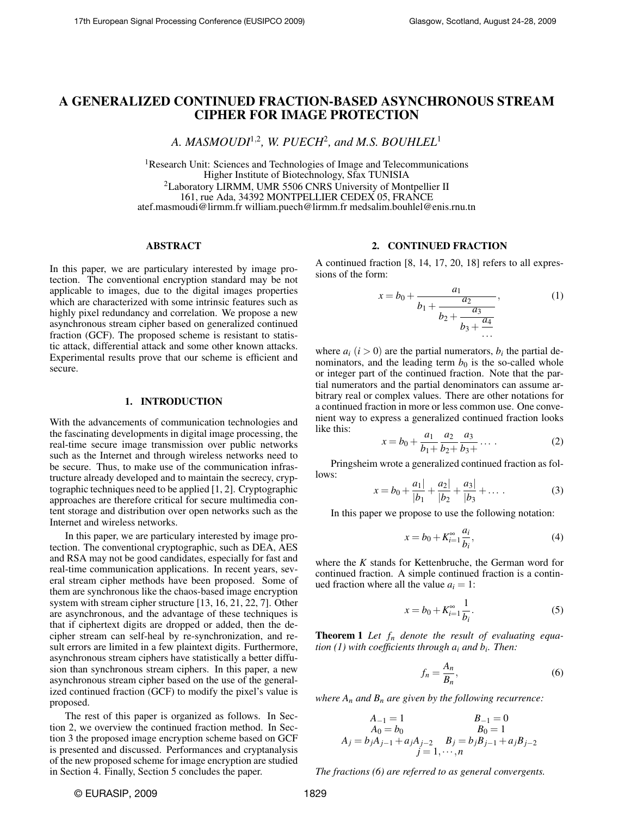# A GENERALIZED CONTINUED FRACTION-BASED ASYNCHRONOUS STREAM CIPHER FOR IMAGE PROTECTION

*A. MASMOUDI*<sup>1</sup>,<sup>2</sup> *, W. PUECH*<sup>2</sup> *, and M.S. BOUHLEL*<sup>1</sup>

<sup>1</sup>Research Unit: Sciences and Technologies of Image and Telecommunications Higher Institute of Biotechnology, Sfax TUNISIA <sup>2</sup>Laboratory LIRMM, UMR 5506 CNRS University of Montpellier II 161, rue Ada, 34392 MONTPELLIER CEDEX 05, FRANCE atef.masmoudi@lirmm.fr william.puech@lirmm.fr medsalim.bouhlel@enis.rnu.tn

### ABSTRACT

In this paper, we are particulary interested by image protection. The conventional encryption standard may be not applicable to images, due to the digital images properties which are characterized with some intrinsic features such as highly pixel redundancy and correlation. We propose a new asynchronous stream cipher based on generalized continued fraction (GCF). The proposed scheme is resistant to statistic attack, differential attack and some other known attacks. Experimental results prove that our scheme is efficient and secure.

### 1. INTRODUCTION

With the advancements of communication technologies and the fascinating developments in digital image processing, the real-time secure image transmission over public networks such as the Internet and through wireless networks need to be secure. Thus, to make use of the communication infrastructure already developed and to maintain the secrecy, cryptographic techniques need to be applied [1, 2]. Cryptographic approaches are therefore critical for secure multimedia content storage and distribution over open networks such as the Internet and wireless networks.

In this paper, we are particulary interested by image protection. The conventional cryptographic, such as DEA, AES and RSA may not be good candidates, especially for fast and real-time communication applications. In recent years, several stream cipher methods have been proposed. Some of them are synchronous like the chaos-based image encryption system with stream cipher structure [13, 16, 21, 22, 7]. Other are asynchronous, and the advantage of these techniques is that if ciphertext digits are dropped or added, then the decipher stream can self-heal by re-synchronization, and result errors are limited in a few plaintext digits. Furthermore, asynchronous stream ciphers have statistically a better diffusion than synchronous stream ciphers. In this paper, a new asynchronous stream cipher based on the use of the generalized continued fraction (GCF) to modify the pixel's value is proposed.

The rest of this paper is organized as follows. In Section 2, we overview the continued fraction method. In Section 3 the proposed image encryption scheme based on GCF is presented and discussed. Performances and cryptanalysis of the new proposed scheme for image encryption are studied in Section 4. Finally, Section 5 concludes the paper.

### 2. CONTINUED FRACTION

A continued fraction [8, 14, 17, 20, 18] refers to all expressions of the form:

$$
x = b_0 + \frac{a_1}{b_1 + \frac{a_2}{b_2 + \frac{a_3}{b_3 + \frac{a_4}{\dots}}}},
$$
 (1)

where  $a_i$  ( $i > 0$ ) are the partial numerators,  $b_i$  the partial denominators, and the leading term  $b<sub>0</sub>$  is the so-called whole or integer part of the continued fraction. Note that the partial numerators and the partial denominators can assume arbitrary real or complex values. There are other notations for a continued fraction in more or less common use. One convenient way to express a generalized continued fraction looks like this:

$$
x = b_0 + \frac{a_1}{b_1 +} \frac{a_2}{b_2 +} \frac{a_3}{b_3 +} \dots
$$
 (2)

Pringsheim wrote a generalized continued fraction as follows:

$$
x = b_0 + \frac{a_1}{|b_1|} + \frac{a_2}{|b_2|} + \frac{a_3}{|b_3|} + \dots
$$
 (3)

In this paper we propose to use the following notation:

$$
x = b_0 + K_{i=1}^{\infty} \frac{a_i}{b_i},
$$
\n(4)

where the *K* stands for Kettenbruche, the German word for continued fraction. A simple continued fraction is a continued fraction where all the value  $a_i = 1$ :

$$
x = b_0 + K_{i=1}^{\infty} \frac{1}{b_i}.
$$
 (5)

Theorem 1 *Let f<sup>n</sup> denote the result of evaluating equation (1) with coefficients through a<sup>i</sup> and b<sup>i</sup> . Then:*

$$
f_n = \frac{A_n}{B_n},\tag{6}
$$

*where*  $A_n$  *and*  $B_n$  *are given by the following recurrence:* 

$$
A_{-1} = 1
$$
  
\n
$$
A_0 = b_0
$$
  
\n
$$
B_{-1} = 0
$$
  
\n
$$
B_0 = 1
$$
  
\n
$$
B_0 = 1
$$
  
\n
$$
B_0 = 1
$$
  
\n
$$
B_0 = 1
$$
  
\n
$$
j = 1, \dots, n
$$

*The fractions (6) are referred to as general convergents.*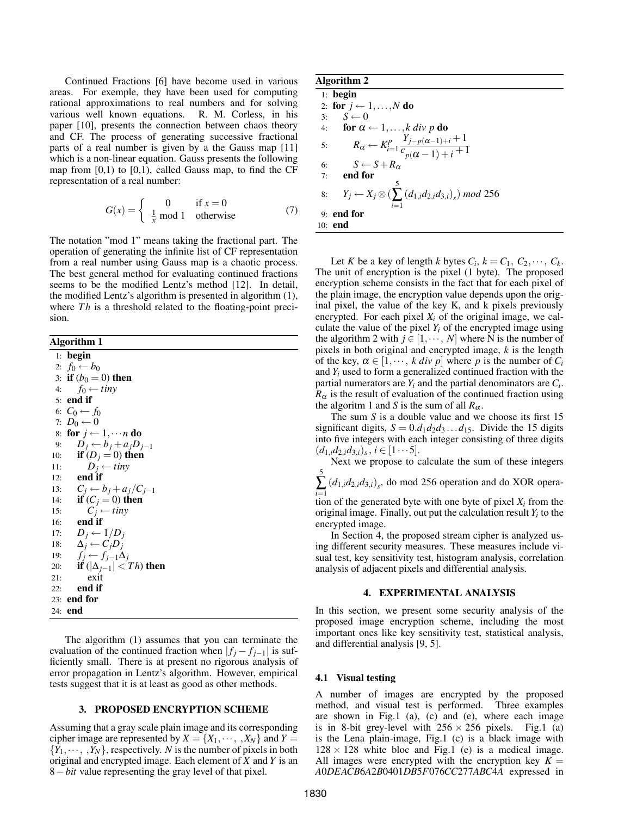Continued Fractions [6] have become used in various areas. For exemple, they have been used for computing rational approximations to real numbers and for solving various well known equations. R. M. Corless, in his paper [10], presents the connection between chaos theory and CF. The process of generating successive fractional parts of a real number is given by a the Gauss map [11] which is a non-linear equation. Gauss presents the following map from  $[0,1)$  to  $[0,1)$ , called Gauss map, to find the CF representation of a real number:

$$
G(x) = \begin{cases} 0 & \text{if } x = 0\\ \frac{1}{x} \text{ mod } 1 & \text{otherwise} \end{cases}
$$
 (7)

The notation "mod 1" means taking the fractional part. The operation of generating the infinite list of CF representation from a real number using Gauss map is a chaotic process. The best general method for evaluating continued fractions seems to be the modified Lentz's method [12]. In detail, the modified Lentz's algorithm is presented in algorithm (1), where *Th* is a threshold related to the floating-point precision.

### Algorithm 1

1: begin 2:  $f_0$  ←  $b_0$ 3: **if**  $(b_0 = 0)$  then<br>4:  $f_0 \leftarrow tinv$  $f_0 \leftarrow tiny$ 5: end if 6:  $C_0 \leftarrow f_0$ 7:  $D_0 \leftarrow 0$ 8: for  $j \leftarrow 1, \cdots n$  do 9:  $D_j \leftarrow b_j + a_j D_{j-1}$ 10: **if**  $(D_j = 0)$  then 11:  $D_j \leftarrow tiny$ 12: **end** if 13:  $C_j \leftarrow b_j + a_j/C_{j-1}$ 14: **if**  $(C_j = 0)$  then 15:  $C_j$  ← *tiny* 16: end if 17:  $D_j \leftarrow 1/D_j$ 18: ∆*<sup>j</sup>* ← *CjD<sup>j</sup>* 19:  $f_j \leftarrow f_{j-1} \Delta_j$ 20: **if**  $(|\Delta_{j-1}| < Th)$  then<br>21: exit exit 22: end if 23: end for 24: end

The algorithm (1) assumes that you can terminate the evaluation of the continued fraction when  $|f_j - f_{j-1}|$  is sufficiently small. There is at present no rigorous analysis of error propagation in Lentz's algorithm. However, empirical tests suggest that it is at least as good as other methods.

### 3. PROPOSED ENCRYPTION SCHEME

Assuming that a gray scale plain image and its corresponding cipher image are represented by  $X = \{X_1, \dots, X_N\}$  and  $Y =$  ${Y_1,\dots, Y_N}$ , respectively. *N* is the number of pixels in both original and encrypted image. Each element of *X* and *Y* is an 8−*bit* value representing the gray level of that pixel.

Algorithm 2

1: begin 2: for  $j \leftarrow 1, \ldots, N$  do 3:  $S \leftarrow 0$ 4: **for**  $\alpha \leftarrow 1, \ldots, k \, \text{div } p \, \textbf{do}$ 5:  $R_{\alpha} \leftarrow K_{i=1}^{p} \frac{Y_{j-p(\alpha-1)+i}+1}{C_{j(\alpha-1)+i}+1}$  $\frac{c_{p(\alpha-1)+i}+1}{i}$ 6:  $S \leftarrow S + R_{\alpha}$ 7: end for 8:  $Y_j \leftarrow X_j \otimes$  ( 5 ∑ *i*=1  $(d_{1,i}d_{2,i}d_{3,i})$  *mod* 256 9: end for 10: end

Let *K* be a key of length *k* bytes  $C_i$ ,  $k = C_1$ ,  $C_2$ ,  $\cdots$ ,  $C_k$ . The unit of encryption is the pixel (1 byte). The proposed encryption scheme consists in the fact that for each pixel of the plain image, the encryption value depends upon the original pixel, the value of the key K, and k pixels previously encrypted. For each pixel  $X_i$  of the original image, we calculate the value of the pixel  $Y_i$  of the encrypted image using the algorithm 2 with  $j \in [1, \dots, N]$  where N is the number of pixels in both original and encrypted image, *k* is the length of the key,  $\alpha \in [1, \dots, k \text{ div } p]$  where p is the number of  $C_i$ and *Y<sup>i</sup>* used to form a generalized continued fraction with the partial numerators are *Y<sup>i</sup>* and the partial denominators are *C<sup>i</sup>* .  $R_{\alpha}$  is the result of evaluation of the continued fraction using the algoritm 1 and *S* is the sum of all  $R_\alpha$ .

The sum *S* is a double value and we choose its first 15 significant digits,  $S = 0.d_1d_2d_3...d_{15}$ . Divide the 15 digits into five integers with each integer consisting of three digits  $(d_{1,i}d_{2,i}d_{3,i})_s, i \in [1 \cdots 5].$ 

Next we propose to calculate the sum of these integers 5

∑ *i*=1  $(d_{1,i}d_{2,i}d_{3,i})$ <sup>s</sup>, do mod 256 operation and do XOR opera-

tion of the generated byte with one byte of pixel  $X_i$  from the original image. Finally, out put the calculation result  $Y_i$  to the encrypted image.

In Section 4, the proposed stream cipher is analyzed using different security measures. These measures include visual test, key sensitivity test, histogram analysis, correlation analysis of adjacent pixels and differential analysis.

#### 4. EXPERIMENTAL ANALYSIS

In this section, we present some security analysis of the proposed image encryption scheme, including the most important ones like key sensitivity test, statistical analysis, and differential analysis [9, 5].

#### 4.1 Visual testing

A number of images are encrypted by the proposed method, and visual test is performed. Three examples are shown in Fig.1 (a), (c) and (e), where each image is in 8-bit grey-level with  $256 \times 256$  pixels. Fig.1 (a) is the Lena plain-image, Fig.1 (c) is a black image with  $128 \times 128$  white bloc and Fig.1 (e) is a medical image. All images were encrypted with the encryption key  $K =$ *A*0*DEACB*6*A*2*B*0401*DB*5*F*076*CC*277*ABC*4*A* expressed in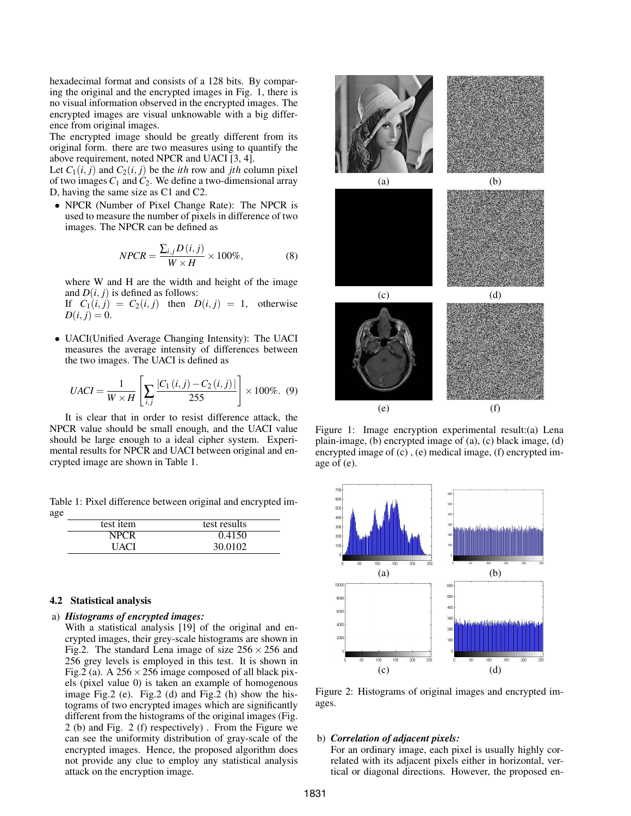hexadecimal format and consists of a 128 bits. By comparing the original and the encrypted images in Fig. 1, there is no visual information observed in the encrypted images. The encrypted images are visual unknowable with a big difference from original images.

The encrypted image should be greatly different from its original form. there are two measures using to quantify the above requirement, noted NPCR and UACI [3, 4].

Let  $C_1(i, j)$  and  $C_2(i, j)$  be the *ith* row and *jth* column pixel of two images  $C_1$  and  $C_2$ . We define a two-dimensional array D, having the same size as C1 and C2.

• NPCR (Number of Pixel Change Rate): The NPCR is used to measure the number of pixels in difference of two images. The NPCR can be defined as

$$
NPCR = \frac{\sum_{i,j} D(i,j)}{W \times H} \times 100\%,\tag{8}
$$

where W and H are the width and height of the image and  $D(i, j)$  is defined as follows:

If  $C_1(i, j) = C_2(i, j)$  then  $D(i, j) = 1$ , otherwise  $D(i, j) = 0.$ 

• UACI(Unified Average Changing Intensity): The UACI measures the average intensity of differences between the two images. The UACI is defined as

$$
UACI = \frac{1}{W \times H} \left[ \sum_{i,j} \frac{|C_1(i,j) - C_2(i,j)|}{255} \right] \times 100\%.
$$
 (9)

It is clear that in order to resist difference attack, the NPCR value should be small enough, and the UACI value should be large enough to a ideal cipher system. Experimental results for NPCR and UACI between original and encrypted image are shown in Table 1.

Table 1: Pixel difference between original and encrypted image

| test item   | test results |
|-------------|--------------|
| <b>NPCR</b> | 0.4150       |
| UACI        | 30.0102      |

### 4.2 Statistical analysis

### a) *Histograms of encrypted images:*

With a statistical analysis [19] of the original and encrypted images, their grey-scale histograms are shown in Fig.2. The standard Lena image of size  $256 \times 256$  and 256 grey levels is employed in this test. It is shown in Fig.2 (a). A  $256 \times 256$  image composed of all black pixels (pixel value 0) is taken an example of homogenous image Fig.2 (e). Fig.2 (d) and Fig.2 (h) show the histograms of two encrypted images which are significantly different from the histograms of the original images (Fig. 2 (b) and Fig. 2 (f) respectively) . From the Figure we can see the uniformity distribution of gray-scale of the encrypted images. Hence, the proposed algorithm does not provide any clue to employ any statistical analysis attack on the encryption image.



Figure 1: Image encryption experimental result:(a) Lena plain-image, (b) encrypted image of (a), (c) black image, (d) encrypted image of (c) , (e) medical image, (f) encrypted image of (e).



Figure 2: Histograms of original images and encrypted images.

#### b) *Correlation of adjacent pixels:*

For an ordinary image, each pixel is usually highly correlated with its adjacent pixels either in horizontal, vertical or diagonal directions. However, the proposed en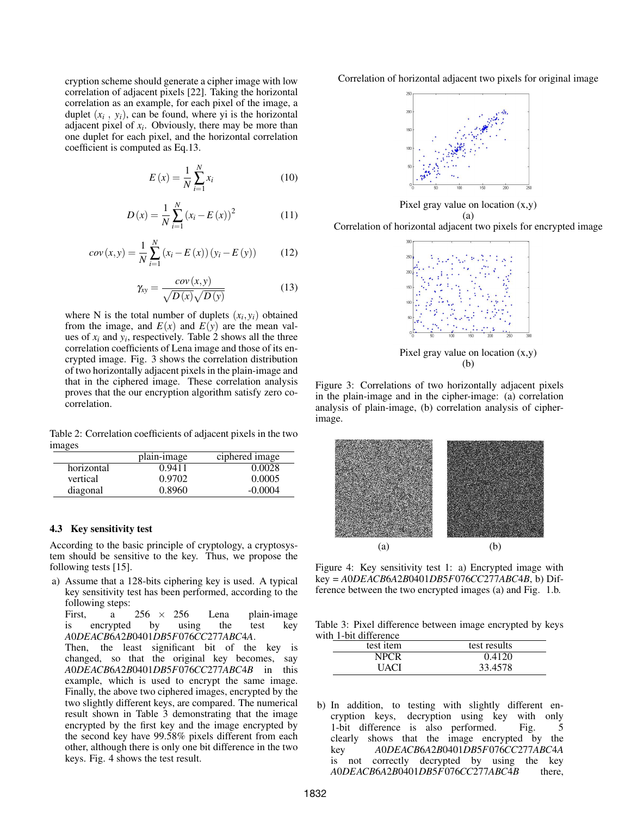cryption scheme should generate a cipher image with low correlation of adjacent pixels [22]. Taking the horizontal correlation as an example, for each pixel of the image, a duplet  $(x_i, y_i)$ , can be found, where yi is the horizontal adjacent pixel of *x<sup>i</sup>* . Obviously, there may be more than one duplet for each pixel, and the horizontal correlation coefficient is computed as Eq.13.

$$
E\left(x\right) = \frac{1}{N} \sum_{i=1}^{N} x_i \tag{10}
$$

$$
D(x) = \frac{1}{N} \sum_{i=1}^{N} (x_i - E(x))^2
$$
 (11)

$$
cov(x, y) = \frac{1}{N} \sum_{i=1}^{N} (x_i - E(x)) (y_i - E(y))
$$
 (12)

$$
\gamma_{xy} = \frac{cov(x, y)}{\sqrt{D(x)}\sqrt{D(y)}}\tag{13}
$$

where N is the total number of duplets  $(x_i, y_i)$  obtained from the image, and  $E(x)$  and  $E(y)$  are the mean values of  $x_i$  and  $y_i$ , respectively. Table 2 shows all the three correlation coefficients of Lena image and those of its encrypted image. Fig. 3 shows the correlation distribution of two horizontally adjacent pixels in the plain-image and that in the ciphered image. These correlation analysis proves that the our encryption algorithm satisfy zero cocorrelation.

Table 2: Correlation coefficients of adjacent pixels in the two images

|            | plain-image | ciphered image |
|------------|-------------|----------------|
| horizontal | 0.9411      | 0.0028         |
| vertical   | 0.9702      | 0.0005         |
| diagonal   | 0.8960      | $-0.0004$      |

### 4.3 Key sensitivity test

According to the basic principle of cryptology, a cryptosystem should be sensitive to the key. Thus, we propose the following tests [15].

a) Assume that a 128-bits ciphering key is used. A typical key sensitivity test has been performed, according to the following steps:

First, a  $256 \times 256$  Lena plain-image is encrypted by using the test key *A*0*DEACB*6*A*2*B*0401*DB*5*F*076*CC*277*ABC*4*A*.

Then, the least significant bit of the key is changed, so that the original key becomes, say *A*0*DEACB*6*A*2*B*0401*DB*5*F*076*CC*277*ABC*4*B* in this example, which is used to encrypt the same image. Finally, the above two ciphered images, encrypted by the two slightly different keys, are compared. The numerical result shown in Table 3 demonstrating that the image encrypted by the first key and the image encrypted by the second key have 99.58% pixels different from each other, although there is only one bit difference in the two keys. Fig. 4 shows the test result.

Correlation of horizontal adjacent two pixels for original image



Pixel gray value on location (x,y) (a)

Correlation of horizontal adjacent two pixels for encrypted image



Pixel gray value on location (x,y) (b)

Figure 3: Correlations of two horizontally adjacent pixels in the plain-image and in the cipher-image: (a) correlation analysis of plain-image, (b) correlation analysis of cipherimage.



Figure 4: Key sensitivity test 1: a) Encrypted image with key = *A*0*DEACB*6*A*2*B*0401*DB*5*F*076*CC*277*ABC*4*B*, b) Difference between the two encrypted images (a) and Fig. 1.b.

Table 3: Pixel difference between image encrypted by keys with 1-bit difference

| test item   | test results |  |
|-------------|--------------|--|
| <b>NPCR</b> | 0.4120       |  |
| UACI        | 33.4578      |  |

b) In addition, to testing with slightly different encryption keys, decryption using key with only 1-bit difference is also performed. Fig. 5 clearly shows that the image encrypted by the key *A*0*DEACB*6*A*2*B*0401*DB*5*F*076*CC*277*ABC*4*A* is not correctly decrypted by using the key *A*0*DEACB*6*A*2*B*0401*DB*5*F*076*CC*277*ABC*4*B* there,